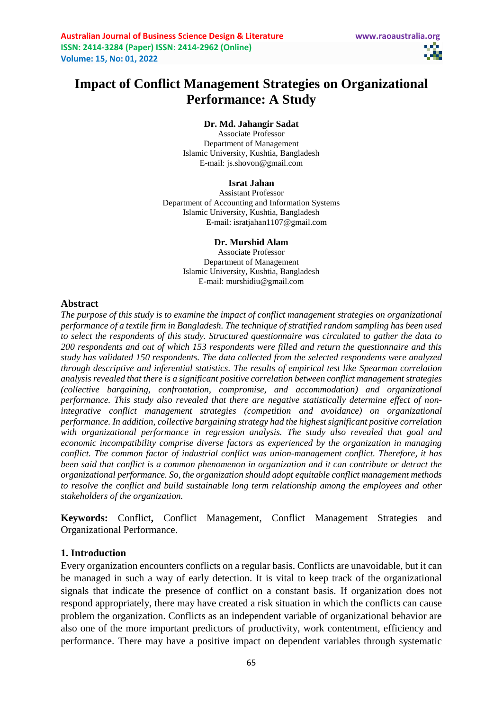# **Impact of Conflict Management Strategies on Organizational Performance: A Study**

**Dr. Md. Jahangir Sadat**

Associate Professor Department of Management Islamic University, Kushtia, Bangladesh E-mail: [js.shovon@gmail.com](mailto:js.shovon@gmail.com)

#### **Israt Jahan**

Assistant Professor Department of Accounting and Information Systems Islamic University, Kushtia, Bangladesh E-mail[: isratjahan1107@gmail.com](mailto:isratjahan1107@gmail.com)

#### **Dr. Murshid Alam**

Associate Professor Department of Management Islamic University, Kushtia, Bangladesh E-mail: [murshidiu@gmail.com](mailto:murshidiu@gmail.com)

#### **Abstract**

*The purpose of this study is to examine the impact of conflict management strategies on organizational performance of a textile firm in Bangladesh. The technique of stratified random sampling has been used to select the respondents of this study. Structured questionnaire was circulated to gather the data to 200 respondents and out of which 153 respondents were filled and return the questionnaire and this study has validated 150 respondents. The data collected from the selected respondents were analyzed through descriptive and inferential statistics. The results of empirical test like Spearman correlation analysis revealed that there is a significant positive correlation between conflict management strategies (collective bargaining, confrontation, compromise, and accommodation) and organizational performance. This study also revealed that there are negative statistically determine effect of nonintegrative conflict management strategies (competition and avoidance) on organizational performance. In addition, collective bargaining strategy had the highest significant positive correlation with organizational performance in regression analysis. The study also revealed that goal and economic incompatibility comprise diverse factors as experienced by the organization in managing conflict. The common factor of industrial conflict was union-management conflict. Therefore, it has been said that conflict is a common phenomenon in organization and it can contribute or detract the organizational performance. So, the organization should adopt equitable conflict management methods to resolve the conflict and build sustainable long term relationship among the employees and other stakeholders of the organization.*

**Keywords:** Conflict**,** Conflict Management, Conflict Management Strategies and Organizational Performance.

# **1. Introduction**

Every organization encounters conflicts on a regular basis. Conflicts are unavoidable, but it can be managed in such a way of early detection. It is vital to keep track of the organizational signals that indicate the presence of conflict on a constant basis. If organization does not respond appropriately, there may have created a risk situation in which the conflicts can cause problem the organization. Conflicts as an independent variable of organizational behavior are also one of the more important predictors of productivity, work contentment, efficiency and performance. There may have a positive impact on dependent variables through systematic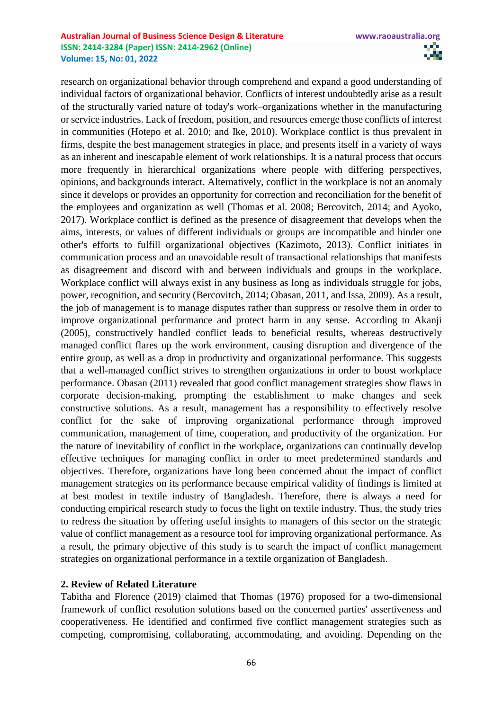#### **Australian Journal of Business Science Design & Literature www.raoaustralia.org ISSN: 2414-3284 (Paper) ISSN: 2414-2962 (Online) Volume: 15, No: 01, 2022**

research on organizational behavior through comprehend and expand a good understanding of individual factors of organizational behavior. Conflicts of interest undoubtedly arise as a result of the structurally varied nature of today's work–organizations whether in the manufacturing or service industries. Lack of freedom, position, and resources emerge those conflicts of interest in communities (Hotepo et al. 2010; and Ike, 2010). Workplace conflict is thus prevalent in firms, despite the best management strategies in place, and presents itself in a variety of ways as an inherent and inescapable element of work relationships. It is a natural process that occurs more frequently in hierarchical organizations where people with differing perspectives, opinions, and backgrounds interact. Alternatively, conflict in the workplace is not an anomaly since it develops or provides an opportunity for correction and reconciliation for the benefit of the employees and organization as well (Thomas et al. 2008; Bercovitch, 2014; and Ayoko, 2017). Workplace conflict is defined as the presence of disagreement that develops when the aims, interests, or values of different individuals or groups are incompatible and hinder one other's efforts to fulfill organizational objectives (Kazimoto, 2013). Conflict initiates in communication process and an unavoidable result of transactional relationships that manifests as disagreement and discord with and between individuals and groups in the workplace. Workplace conflict will always exist in any business as long as individuals struggle for jobs, power, recognition, and security (Bercovitch, 2014; Obasan, 2011, and Issa, 2009). As a result, the job of management is to manage disputes rather than suppress or resolve them in order to improve organizational performance and protect harm in any sense. According to Akanji (2005), constructively handled conflict leads to beneficial results, whereas destructively managed conflict flares up the work environment, causing disruption and divergence of the entire group, as well as a drop in productivity and organizational performance. This suggests that a well-managed conflict strives to strengthen organizations in order to boost workplace performance. Obasan (2011) revealed that good conflict management strategies show flaws in corporate decision-making, prompting the establishment to make changes and seek constructive solutions. As a result, management has a responsibility to effectively resolve conflict for the sake of improving organizational performance through improved communication, management of time, cooperation, and productivity of the organization. For the nature of inevitability of conflict in the workplace, organizations can continually develop effective techniques for managing conflict in order to meet predetermined standards and objectives. Therefore, organizations have long been concerned about the impact of conflict management strategies on its performance because empirical validity of findings is limited at at best modest in textile industry of Bangladesh. Therefore, there is always a need for conducting empirical research study to focus the light on textile industry. Thus, the study tries to redress the situation by offering useful insights to managers of this sector on the strategic value of conflict management as a resource tool for improving organizational performance. As a result, the primary objective of this study is to search the impact of conflict management strategies on organizational performance in a textile organization of Bangladesh.

#### **2. Review of Related Literature**

Tabitha and Florence (2019) claimed that Thomas (1976) proposed for a two-dimensional framework of conflict resolution solutions based on the concerned parties' assertiveness and cooperativeness. He identified and confirmed five conflict management strategies such as competing, compromising, collaborating, accommodating, and avoiding. Depending on the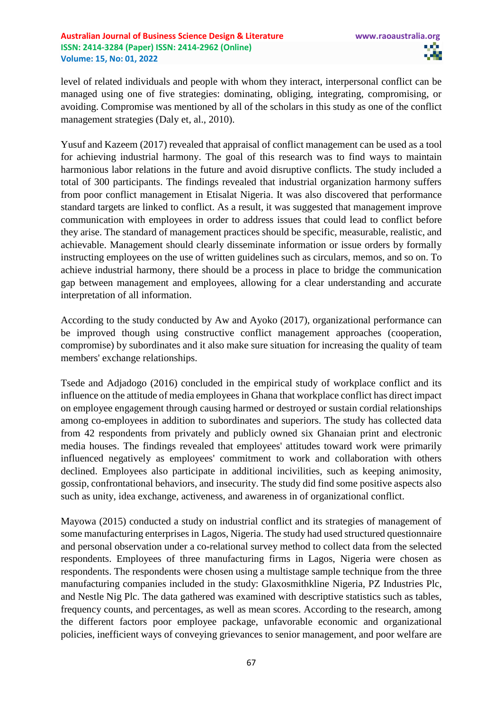level of related individuals and people with whom they interact, interpersonal conflict can be managed using one of five strategies: dominating, obliging, integrating, compromising, or avoiding. Compromise was mentioned by all of the scholars in this study as one of the conflict management strategies (Daly et, al., 2010).

Yusuf and Kazeem (2017) revealed that appraisal of conflict management can be used as a tool for achieving industrial harmony. The goal of this research was to find ways to maintain harmonious labor relations in the future and avoid disruptive conflicts. The study included a total of 300 participants. The findings revealed that industrial organization harmony suffers from poor conflict management in Etisalat Nigeria. It was also discovered that performance standard targets are linked to conflict. As a result, it was suggested that management improve communication with employees in order to address issues that could lead to conflict before they arise. The standard of management practices should be specific, measurable, realistic, and achievable. Management should clearly disseminate information or issue orders by formally instructing employees on the use of written guidelines such as circulars, memos, and so on. To achieve industrial harmony, there should be a process in place to bridge the communication gap between management and employees, allowing for a clear understanding and accurate interpretation of all information.

According to the study conducted by Aw and Ayoko (2017), organizational performance can be improved though using constructive conflict management approaches (cooperation, compromise) by subordinates and it also make sure situation for increasing the quality of team members' exchange relationships.

Tsede and Adjadogo (2016) concluded in the empirical study of workplace conflict and its influence on the attitude of media employees in Ghana that workplace conflict has direct impact on employee engagement through causing harmed or destroyed or sustain cordial relationships among co-employees in addition to subordinates and superiors. The study has collected data from 42 respondents from privately and publicly owned six Ghanaian print and electronic media houses. The findings revealed that employees' attitudes toward work were primarily influenced negatively as employees' commitment to work and collaboration with others declined. Employees also participate in additional incivilities, such as keeping animosity, gossip, confrontational behaviors, and insecurity. The study did find some positive aspects also such as unity, idea exchange, activeness, and awareness in of organizational conflict.

Mayowa (2015) conducted a study on industrial conflict and its strategies of management of some manufacturing enterprises in Lagos, Nigeria. The study had used structured questionnaire and personal observation under a co-relational survey method to collect data from the selected respondents. Employees of three manufacturing firms in Lagos, Nigeria were chosen as respondents. The respondents were chosen using a multistage sample technique from the three manufacturing companies included in the study: Glaxosmithkline Nigeria, PZ Industries Plc, and Nestle Nig Plc. The data gathered was examined with descriptive statistics such as tables, frequency counts, and percentages, as well as mean scores. According to the research, among the different factors poor employee package, unfavorable economic and organizational policies, inefficient ways of conveying grievances to senior management, and poor welfare are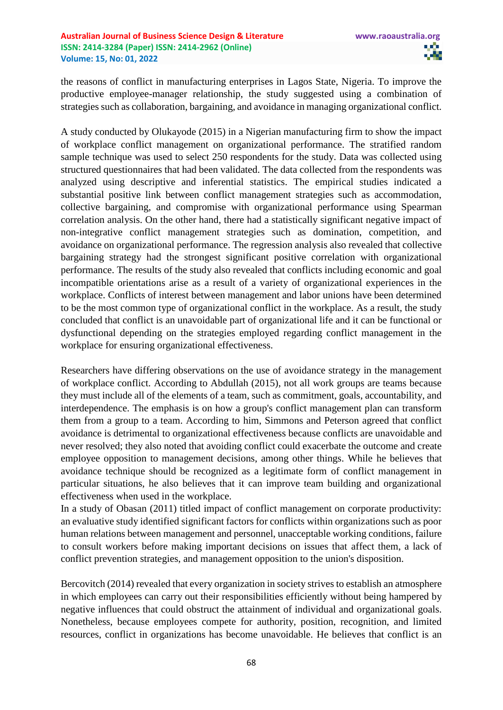the reasons of conflict in manufacturing enterprises in Lagos State, Nigeria. To improve the productive employee-manager relationship, the study suggested using a combination of strategies such as collaboration, bargaining, and avoidance in managing organizational conflict.

A study conducted by Olukayode (2015) in a Nigerian manufacturing firm to show the impact of workplace conflict management on organizational performance. The stratified random sample technique was used to select 250 respondents for the study. Data was collected using structured questionnaires that had been validated. The data collected from the respondents was analyzed using descriptive and inferential statistics. The empirical studies indicated a substantial positive link between conflict management strategies such as accommodation, collective bargaining, and compromise with organizational performance using Spearman correlation analysis. On the other hand, there had a statistically significant negative impact of non-integrative conflict management strategies such as domination, competition, and avoidance on organizational performance. The regression analysis also revealed that collective bargaining strategy had the strongest significant positive correlation with organizational performance. The results of the study also revealed that conflicts including economic and goal incompatible orientations arise as a result of a variety of organizational experiences in the workplace. Conflicts of interest between management and labor unions have been determined to be the most common type of organizational conflict in the workplace. As a result, the study concluded that conflict is an unavoidable part of organizational life and it can be functional or dysfunctional depending on the strategies employed regarding conflict management in the workplace for ensuring organizational effectiveness.

Researchers have differing observations on the use of avoidance strategy in the management of workplace conflict. According to Abdullah (2015), not all work groups are teams because they must include all of the elements of a team, such as commitment, goals, accountability, and interdependence. The emphasis is on how a group's conflict management plan can transform them from a group to a team. According to him, Simmons and Peterson agreed that conflict avoidance is detrimental to organizational effectiveness because conflicts are unavoidable and never resolved; they also noted that avoiding conflict could exacerbate the outcome and create employee opposition to management decisions, among other things. While he believes that avoidance technique should be recognized as a legitimate form of conflict management in particular situations, he also believes that it can improve team building and organizational effectiveness when used in the workplace.

In a study of Obasan (2011) titled impact of conflict management on corporate productivity: an evaluative study identified significant factors for conflicts within organizations such as poor human relations between management and personnel, unacceptable working conditions, failure to consult workers before making important decisions on issues that affect them, a lack of conflict prevention strategies, and management opposition to the union's disposition.

Bercovitch (2014) revealed that every organization in society strives to establish an atmosphere in which employees can carry out their responsibilities efficiently without being hampered by negative influences that could obstruct the attainment of individual and organizational goals. Nonetheless, because employees compete for authority, position, recognition, and limited resources, conflict in organizations has become unavoidable. He believes that conflict is an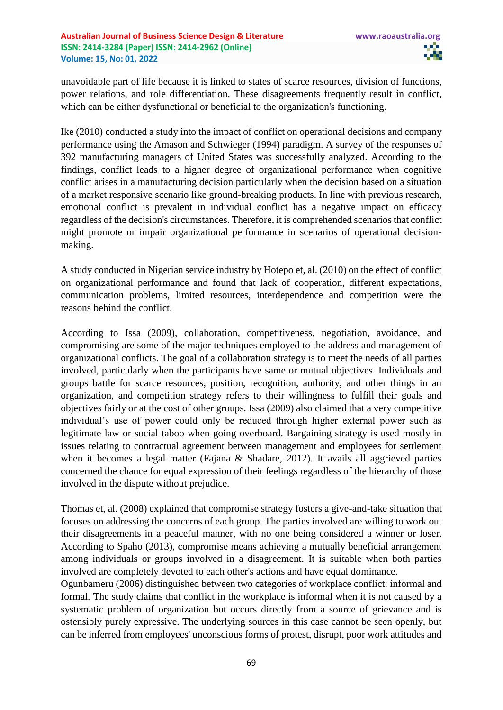unavoidable part of life because it is linked to states of scarce resources, division of functions, power relations, and role differentiation. These disagreements frequently result in conflict, which can be either dysfunctional or beneficial to the organization's functioning.

Ike (2010) conducted a study into the impact of conflict on operational decisions and company performance using the Amason and Schwieger (1994) paradigm. A survey of the responses of 392 manufacturing managers of United States was successfully analyzed. According to the findings, conflict leads to a higher degree of organizational performance when cognitive conflict arises in a manufacturing decision particularly when the decision based on a situation of a market responsive scenario like ground-breaking products. In line with previous research, emotional conflict is prevalent in individual conflict has a negative impact on efficacy regardless of the decision's circumstances. Therefore, it is comprehended scenarios that conflict might promote or impair organizational performance in scenarios of operational decisionmaking.

A study conducted in Nigerian service industry by Hotepo et, al. (2010) on the effect of conflict on organizational performance and found that lack of cooperation, different expectations, communication problems, limited resources, interdependence and competition were the reasons behind the conflict.

According to Issa (2009), collaboration, competitiveness, negotiation, avoidance, and compromising are some of the major techniques employed to the address and management of organizational conflicts. The goal of a collaboration strategy is to meet the needs of all parties involved, particularly when the participants have same or mutual objectives. Individuals and groups battle for scarce resources, position, recognition, authority, and other things in an organization, and competition strategy refers to their willingness to fulfill their goals and objectives fairly or at the cost of other groups. Issa (2009) also claimed that a very competitive individual's use of power could only be reduced through higher external power such as legitimate law or social taboo when going overboard. Bargaining strategy is used mostly in issues relating to contractual agreement between management and employees for settlement when it becomes a legal matter (Fajana & Shadare, 2012). It avails all aggrieved parties concerned the chance for equal expression of their feelings regardless of the hierarchy of those involved in the dispute without prejudice.

Thomas et, al. (2008) explained that compromise strategy fosters a give-and-take situation that focuses on addressing the concerns of each group. The parties involved are willing to work out their disagreements in a peaceful manner, with no one being considered a winner or loser. According to Spaho (2013), compromise means achieving a mutually beneficial arrangement among individuals or groups involved in a disagreement. It is suitable when both parties involved are completely devoted to each other's actions and have equal dominance.

Ogunbameru (2006) distinguished between two categories of workplace conflict: informal and formal. The study claims that conflict in the workplace is informal when it is not caused by a systematic problem of organization but occurs directly from a source of grievance and is ostensibly purely expressive. The underlying sources in this case cannot be seen openly, but can be inferred from employees' unconscious forms of protest, disrupt, poor work attitudes and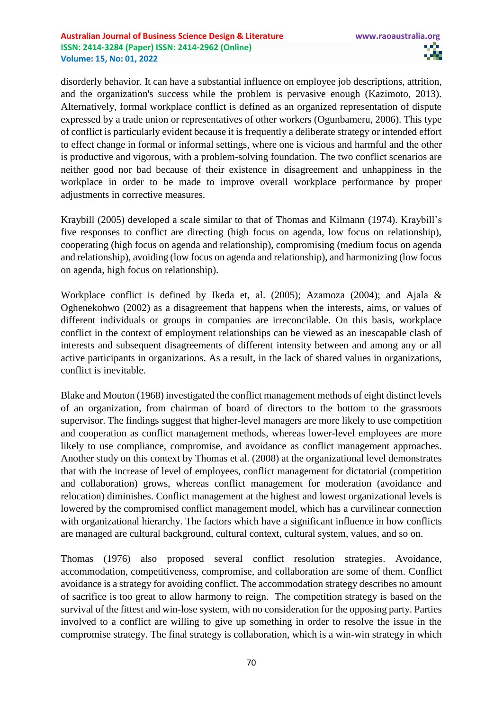disorderly behavior. It can have a substantial influence on employee job descriptions, attrition, and the organization's success while the problem is pervasive enough (Kazimoto, 2013). Alternatively, formal workplace conflict is defined as an organized representation of dispute expressed by a trade union or representatives of other workers (Ogunbameru, 2006). This type of conflict is particularly evident because it is frequently a deliberate strategy or intended effort to effect change in formal or informal settings, where one is vicious and harmful and the other is productive and vigorous, with a problem-solving foundation. The two conflict scenarios are neither good nor bad because of their existence in disagreement and unhappiness in the workplace in order to be made to improve overall workplace performance by proper adjustments in corrective measures.

Kraybill (2005) developed a scale similar to that of Thomas and Kilmann (1974). Kraybill's five responses to conflict are directing (high focus on agenda, low focus on relationship), cooperating (high focus on agenda and relationship), compromising (medium focus on agenda and relationship), avoiding (low focus on agenda and relationship), and harmonizing (low focus on agenda, high focus on relationship).

Workplace conflict is defined by Ikeda et, al. (2005); Azamoza (2004); and Ajala & Oghenekohwo (2002) as a disagreement that happens when the interests, aims, or values of different individuals or groups in companies are irreconcilable. On this basis, workplace conflict in the context of employment relationships can be viewed as an inescapable clash of interests and subsequent disagreements of different intensity between and among any or all active participants in organizations. As a result, in the lack of shared values in organizations, conflict is inevitable.

Blake and Mouton (1968) investigated the conflict management methods of eight distinct levels of an organization, from chairman of board of directors to the bottom to the grassroots supervisor. The findings suggest that higher-level managers are more likely to use competition and cooperation as conflict management methods, whereas lower-level employees are more likely to use compliance, compromise, and avoidance as conflict management approaches. Another study on this context by Thomas et al. (2008) at the organizational level demonstrates that with the increase of level of employees, conflict management for dictatorial (competition and collaboration) grows, whereas conflict management for moderation (avoidance and relocation) diminishes. Conflict management at the highest and lowest organizational levels is lowered by the compromised conflict management model, which has a curvilinear connection with organizational hierarchy. The factors which have a significant influence in how conflicts are managed are cultural background, cultural context, cultural system, values, and so on.

Thomas (1976) also proposed several conflict resolution strategies. Avoidance, accommodation, competitiveness, compromise, and collaboration are some of them. Conflict avoidance is a strategy for avoiding conflict. The accommodation strategy describes no amount of sacrifice is too great to allow harmony to reign. The competition strategy is based on the survival of the fittest and win-lose system, with no consideration for the opposing party. Parties involved to a conflict are willing to give up something in order to resolve the issue in the compromise strategy. The final strategy is collaboration, which is a win-win strategy in which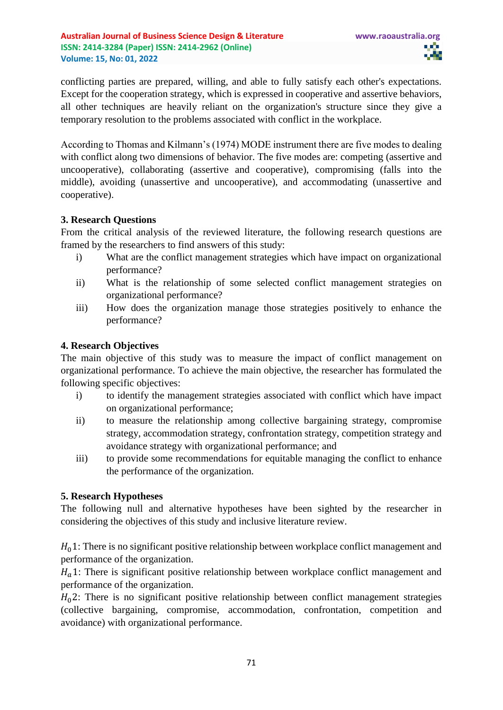conflicting parties are prepared, willing, and able to fully satisfy each other's expectations. Except for the cooperation strategy, which is expressed in cooperative and assertive behaviors, all other techniques are heavily reliant on the organization's structure since they give a temporary resolution to the problems associated with conflict in the workplace.

According to Thomas and Kilmann's (1974) MODE instrument there are five modes to dealing with conflict along two dimensions of behavior. The five modes are: competing (assertive and uncooperative), collaborating (assertive and cooperative), compromising (falls into the middle), avoiding (unassertive and uncooperative), and accommodating (unassertive and cooperative).

# **3. Research Questions**

From the critical analysis of the reviewed literature, the following research questions are framed by the researchers to find answers of this study:

- i) What are the conflict management strategies which have impact on organizational performance?
- ii) What is the relationship of some selected conflict management strategies on organizational performance?
- iii) How does the organization manage those strategies positively to enhance the performance?

## **4. Research Objectives**

The main objective of this study was to measure the impact of conflict management on organizational performance. To achieve the main objective, the researcher has formulated the following specific objectives:

- i) to identify the management strategies associated with conflict which have impact on organizational performance;
- ii) to measure the relationship among collective bargaining strategy, compromise strategy, accommodation strategy, confrontation strategy, competition strategy and avoidance strategy with organizational performance; and
- iii) to provide some recommendations for equitable managing the conflict to enhance the performance of the organization.

# **5. Research Hypotheses**

The following null and alternative hypotheses have been sighted by the researcher in considering the objectives of this study and inclusive literature review.

 $H<sub>0</sub>1$ : There is no significant positive relationship between workplace conflict management and performance of the organization.

 $H<sub>a</sub>$ 1: There is significant positive relationship between workplace conflict management and performance of the organization.

 $H<sub>0</sub>$ 2: There is no significant positive relationship between conflict management strategies (collective bargaining, compromise, accommodation, confrontation, competition and avoidance) with organizational performance.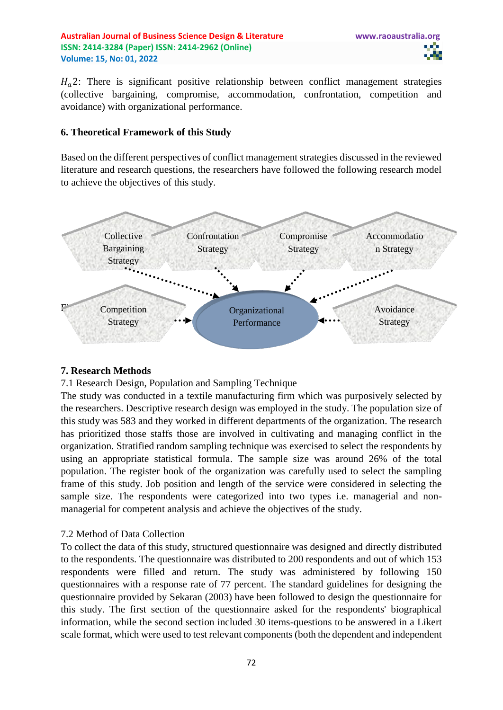**Australian Journal of Business Science Design & Literature www.raoaustralia.org ISSN: 2414-3284 (Paper) ISSN: 2414-2962 (Online) Volume: 15, No: 01, 2022**

 $H_a$ 2: There is significant positive relationship between conflict management strategies (collective bargaining, compromise, accommodation, confrontation, competition and avoidance) with organizational performance.

## **6. Theoretical Framework of this Study**

Based on the different perspectives of conflict management strategies discussed in the reviewed literature and research questions, the researchers have followed the following research model to achieve the objectives of this study.



# **7. Research Methods**

7.1 Research Design, Population and Sampling Technique

The study was conducted in a textile manufacturing firm which was purposively selected by the researchers. Descriptive research design was employed in the study. The population size of this study was 583 and they worked in different departments of the organization. The research has prioritized those staffs those are involved in cultivating and managing conflict in the organization. Stratified random sampling technique was exercised to select the respondents by using an appropriate statistical formula. The sample size was around 26% of the total population. The register book of the organization was carefully used to select the sampling frame of this study. Job position and length of the service were considered in selecting the sample size. The respondents were categorized into two types i.e. managerial and nonmanagerial for competent analysis and achieve the objectives of the study.

# 7.2 Method of Data Collection

To collect the data of this study, structured questionnaire was designed and directly distributed to the respondents. The questionnaire was distributed to 200 respondents and out of which 153 respondents were filled and return. The study was administered by following 150 questionnaires with a response rate of 77 percent. The standard guidelines for designing the questionnaire provided by Sekaran (2003) have been followed to design the questionnaire for this study. The first section of the questionnaire asked for the respondents' biographical information, while the second section included 30 items-questions to be answered in a Likert scale format, which were used to test relevant components (both the dependent and independent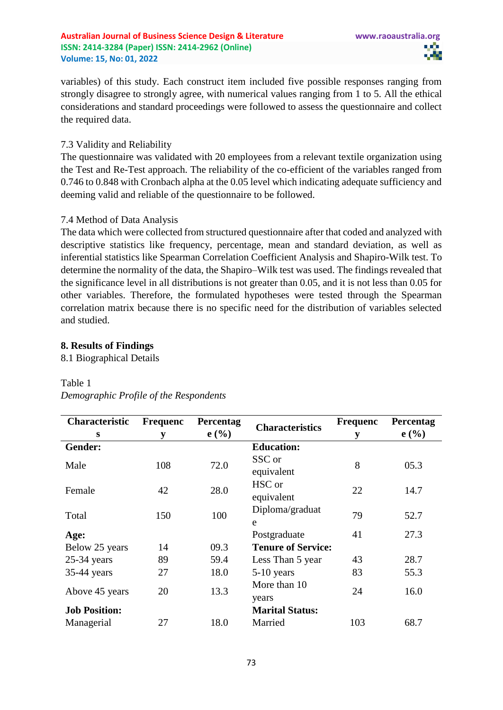variables) of this study. Each construct item included five possible responses ranging from strongly disagree to strongly agree, with numerical values ranging from 1 to 5. All the ethical considerations and standard proceedings were followed to assess the questionnaire and collect the required data.

## 7.3 Validity and Reliability

The questionnaire was validated with 20 employees from a relevant textile organization using the Test and Re-Test approach. The reliability of the co-efficient of the variables ranged from 0.746 to 0.848 with Cronbach alpha at the 0.05 level which indicating adequate sufficiency and deeming valid and reliable of the questionnaire to be followed.

## 7.4 Method of Data Analysis

The data which were collected from structured questionnaire after that coded and analyzed with descriptive statistics like frequency, percentage, mean and standard deviation, as well as inferential statistics like Spearman Correlation Coefficient Analysis and Shapiro-Wilk test. To determine the normality of the data, the Shapiro–Wilk test was used. The findings revealed that the significance level in all distributions is not greater than 0.05, and it is not less than 0.05 for other variables. Therefore, the formulated hypotheses were tested through the Spearman correlation matrix because there is no specific need for the distribution of variables selected and studied.

## **8. Results of Findings**

8.1 Biographical Details

#### Table 1

| Characteristic       | <b>Frequenc</b> | Percentag | <b>Characteristics</b>    | <b>Frequenc</b> | Percentag |
|----------------------|-----------------|-----------|---------------------------|-----------------|-----------|
| S                    | y               | e(%)      |                           | y               | e(%)      |
| Gender:              |                 |           | <b>Education:</b>         |                 |           |
| Male                 | 108             | 72.0      | SSC or<br>equivalent      | 8               | 05.3      |
| Female               | 42              | 28.0      | HSC or<br>equivalent      | 22              | 14.7      |
| Total                | 150             | 100       | Diploma/graduat<br>e      | 79              | 52.7      |
| Age:                 |                 |           | Postgraduate              | 41              | 27.3      |
| Below 25 years       | 14              | 09.3      | <b>Tenure of Service:</b> |                 |           |
| $25-34$ years        | 89              | 59.4      | Less Than 5 year          | 43              | 28.7      |
| 35-44 years          | 27              | 18.0      | 5-10 years                | 83              | 55.3      |
| Above 45 years       | 20              | 13.3      | More than 10<br>years     | 24              | 16.0      |
| <b>Job Position:</b> |                 |           | <b>Marital Status:</b>    |                 |           |
| Managerial           | 27              | 18.0      | Married                   | 103             | 68.7      |

*Demographic Profile of the Respondents*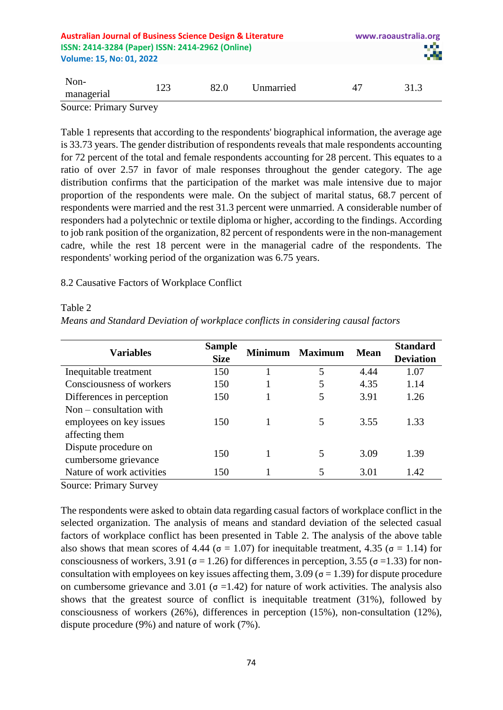| <b>Australian Journal of Business Science Design &amp; Literature</b><br>ISSN: 2414-3284 (Paper) ISSN: 2414-2962 (Online)<br><b>Volume: 15, No: 01, 2022</b> |     |      | www.raoaustralia.org<br>28 |    |      |
|--------------------------------------------------------------------------------------------------------------------------------------------------------------|-----|------|----------------------------|----|------|
| Non-<br>managerial                                                                                                                                           | 123 | 82.0 | Unmarried                  | 47 | 31.3 |
| <b>Source: Primary Survey</b>                                                                                                                                |     |      |                            |    |      |

Table 1 represents that according to the respondents' biographical information, the average age is 33.73 years. The gender distribution of respondents reveals that male respondents accounting for 72 percent of the total and female respondents accounting for 28 percent. This equates to a ratio of over 2.57 in favor of male responses throughout the gender category. The age distribution confirms that the participation of the market was male intensive due to major proportion of the respondents were male. On the subject of marital status, 68.7 percent of respondents were married and the rest 31.3 percent were unmarried. A considerable number of responders had a polytechnic or textile diploma or higher, according to the findings. According to job rank position of the organization, 82 percent of respondents were in the non-management cadre, while the rest 18 percent were in the managerial cadre of the respondents. The respondents' working period of the organization was 6.75 years.

## 8.2 Causative Factors of Workplace Conflict

#### Table 2

|  |  |  |  | Means and Standard Deviation of workplace conflicts in considering causal factors |  |  |
|--|--|--|--|-----------------------------------------------------------------------------------|--|--|
|  |  |  |  |                                                                                   |  |  |

| <b>Variables</b>          | <b>Sample</b><br><b>Size</b> | <b>Minimum</b> | <b>Maximum</b> | <b>Mean</b> | <b>Standard</b><br><b>Deviation</b> |
|---------------------------|------------------------------|----------------|----------------|-------------|-------------------------------------|
| Inequitable treatment     | 150                          |                | 5              | 4.44        | 1.07                                |
| Consciousness of workers  | 150                          |                |                | 4.35        | 1.14                                |
| Differences in perception | 150                          |                |                | 3.91        | 1.26                                |
| $Non-constant$ with       |                              |                |                |             |                                     |
| employees on key issues   | 150                          |                |                | 3.55        | 1.33                                |
| affecting them            |                              |                |                |             |                                     |
| Dispute procedure on      | 150                          |                |                | 3.09        | 1.39                                |
| cumbersome grievance      |                              |                |                |             |                                     |
| Nature of work activities | 150                          |                | 5              | 3.01        | 1.42                                |

Source: Primary Survey

The respondents were asked to obtain data regarding casual factors of workplace conflict in the selected organization. The analysis of means and standard deviation of the selected casual factors of workplace conflict has been presented in Table 2. The analysis of the above table also shows that mean scores of 4.44 ( $\sigma$  = 1.07) for inequitable treatment, 4.35 ( $\sigma$  = 1.14) for consciousness of workers, 3.91 ( $\sigma$  = 1.26) for differences in perception, 3.55 ( $\sigma$  = 1.33) for nonconsultation with employees on key issues affecting them,  $3.09$  ( $\sigma = 1.39$ ) for dispute procedure on cumbersome grievance and 3.01 ( $\sigma$  =1.42) for nature of work activities. The analysis also shows that the greatest source of conflict is inequitable treatment (31%), followed by consciousness of workers (26%), differences in perception (15%), non-consultation (12%), dispute procedure (9%) and nature of work (7%).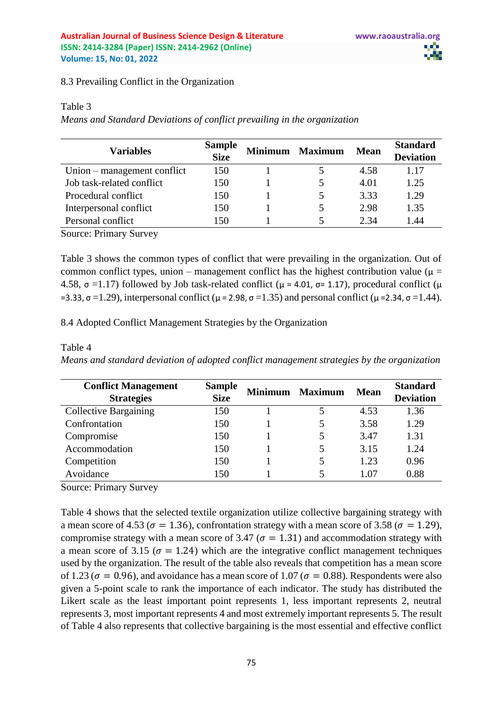8.3 Prevailing Conflict in the Organization

#### Table 3

*Means and Standard Deviations of conflict prevailing in the organization*

| <b>Variables</b>            | <b>Sample</b><br><b>Size</b> | <b>Minimum</b> | <b>Maximum</b> | <b>Mean</b> | <b>Standard</b><br><b>Deviation</b> |
|-----------------------------|------------------------------|----------------|----------------|-------------|-------------------------------------|
| Union – management conflict | 150                          |                |                | 4.58        | 1.17                                |
| Job task-related conflict   | 150                          |                |                | 4.01        | 1.25                                |
| Procedural conflict         | 150                          |                |                | 3.33        | 1.29                                |
| Interpersonal conflict      | 150                          |                |                | 2.98        | 1.35                                |
| Personal conflict           | 150                          |                |                | 2.34        | 1.44                                |
| Course Drivewer Courses     |                              |                |                |             |                                     |

Source: Primary Survey

Table 3 shows the common types of conflict that were prevailing in the organization. Out of common conflict types, union – management conflict has the highest contribution value ( $\mu$  = 4.58, σ =1.17) followed by Job task-related conflict ( $\mu$  = 4.01, σ= 1.17), procedural conflict ( $\mu$ =3.33, σ = 1.29), interpersonal conflict ( $\mu$  = 2.98, σ = 1.35) and personal conflict ( $\mu$  = 2.34, σ = 1.44).

8.4 Adopted Conflict Management Strategies by the Organization

| <b>Conflict Management</b><br><b>Strategies</b> | <b>Sample</b><br><b>Size</b> | Minimum | <b>Maximum</b> | <b>Mean</b> | <b>Standard</b><br><b>Deviation</b> |
|-------------------------------------------------|------------------------------|---------|----------------|-------------|-------------------------------------|
| <b>Collective Bargaining</b>                    | 150                          |         |                | 4.53        | 1.36                                |
| Confrontation                                   | 150                          |         |                | 3.58        | 1.29                                |
| Compromise                                      | 150                          |         |                | 3.47        | 1.31                                |
| Accommodation                                   | 150                          |         |                | 3.15        | 1.24                                |
| Competition                                     | 150                          |         |                | 1.23        | 0.96                                |
| Avoidance                                       | 150                          |         |                | 1.07        | 0.88                                |

Table 4

*Means and standard deviation of adopted conflict management strategies by the organization*

Source: Primary Survey

Table 4 shows that the selected textile organization utilize collective bargaining strategy with a mean score of 4.53 ( $\sigma = 1.36$ ), confrontation strategy with a mean score of 3.58 ( $\sigma = 1.29$ ), compromise strategy with a mean score of 3.47 ( $\sigma = 1.31$ ) and accommodation strategy with a mean score of 3.15 ( $\sigma = 1.24$ ) which are the integrative conflict management techniques used by the organization. The result of the table also reveals that competition has a mean score of 1.23 ( $\sigma = 0.96$ ), and avoidance has a mean score of 1.07 ( $\sigma = 0.88$ ). Respondents were also given a 5-point scale to rank the importance of each indicator. The study has distributed the Likert scale as the least important point represents 1, less important represents 2, neutral represents 3, most important represents 4 and most extremely important represents 5. The result of Table 4 also represents that collective bargaining is the most essential and effective conflict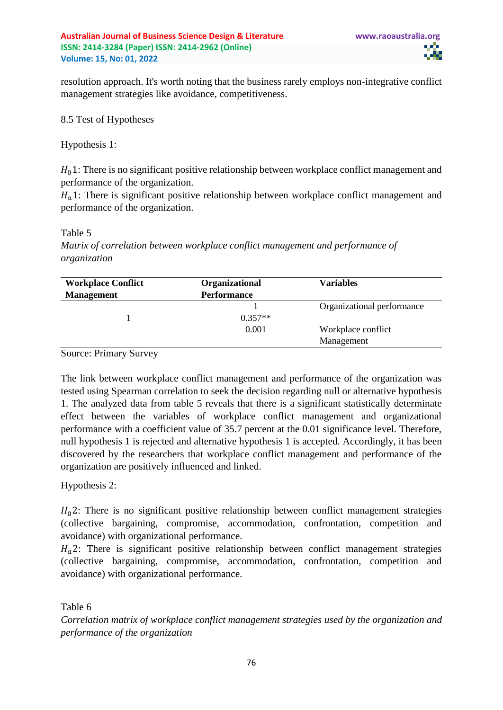resolution approach. It's worth noting that the business rarely employs non-integrative conflict management strategies like avoidance, competitiveness.

# 8.5 Test of Hypotheses

Hypothesis 1:

 $H<sub>0</sub>1$ : There is no significant positive relationship between workplace conflict management and performance of the organization.

 $H<sub>a</sub>$ 1: There is significant positive relationship between workplace conflict management and performance of the organization.

## Table 5

*Matrix of correlation between workplace conflict management and performance of organization*

| <b>Workplace Conflict</b> | Organizational     | <b>Variables</b>           |
|---------------------------|--------------------|----------------------------|
| <b>Management</b>         | <b>Performance</b> |                            |
|                           |                    | Organizational performance |
|                           | $0.357**$          |                            |
|                           | 0.001              | Workplace conflict         |
|                           |                    | Management                 |

Source: Primary Survey

The link between workplace conflict management and performance of the organization was tested using Spearman correlation to seek the decision regarding null or alternative hypothesis 1. The analyzed data from table 5 reveals that there is a significant statistically determinate effect between the variables of workplace conflict management and organizational performance with a coefficient value of 35.7 percent at the 0.01 significance level. Therefore, null hypothesis 1 is rejected and alternative hypothesis 1 is accepted. Accordingly, it has been discovered by the researchers that workplace conflict management and performance of the organization are positively influenced and linked.

Hypothesis 2:

 $H<sub>0</sub>$ 2: There is no significant positive relationship between conflict management strategies (collective bargaining, compromise, accommodation, confrontation, competition and avoidance) with organizational performance.

 $H<sub>a</sub>$ 2: There is significant positive relationship between conflict management strategies (collective bargaining, compromise, accommodation, confrontation, competition and avoidance) with organizational performance.

Table 6

*Correlation matrix of workplace conflict management strategies used by the organization and performance of the organization*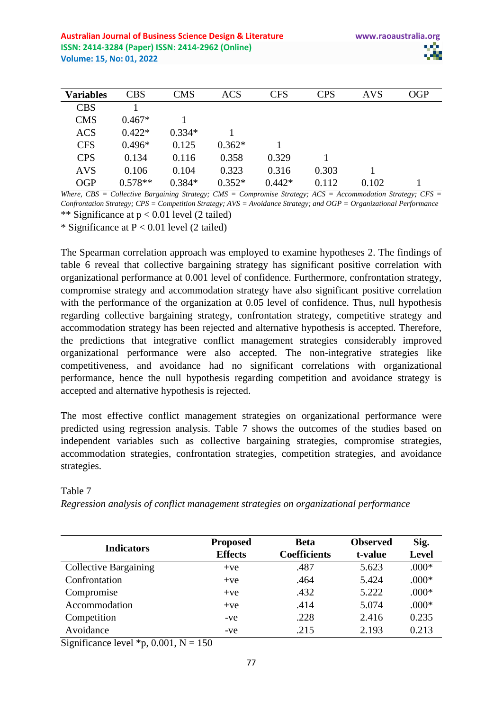| <b>Variables</b> | <b>CBS</b> | <b>CMS</b> | <b>ACS</b> | <b>CFS</b> | <b>CPS</b> | <b>AVS</b> | <b>OGP</b> |
|------------------|------------|------------|------------|------------|------------|------------|------------|
| <b>CBS</b>       |            |            |            |            |            |            |            |
| <b>CMS</b>       | $0.467*$   |            |            |            |            |            |            |
| <b>ACS</b>       | $0.422*$   | $0.334*$   |            |            |            |            |            |
| <b>CFS</b>       | $0.496*$   | 0.125      | $0.362*$   |            |            |            |            |
| <b>CPS</b>       | 0.134      | 0.116      | 0.358      | 0.329      |            |            |            |
| <b>AVS</b>       | 0.106      | 0.104      | 0.323      | 0.316      | 0.303      |            |            |
| <b>OGP</b>       | $0.578**$  | $0.384*$   | $0.352*$   | $0.442*$   | 0.112      | 0.102      |            |

*Where, CBS = Collective Bargaining Strategy; CMS = Compromise Strategy; ACS = Accommodation Strategy; CFS = Confrontation Strategy; CPS = Competition Strategy; AVS = Avoidance Strategy; and OGP = Organizational Performance* \*\* Significance at  $p < 0.01$  level (2 tailed)

\* Significance at  $P < 0.01$  level (2 tailed)

The Spearman correlation approach was employed to examine hypotheses 2. The findings of table 6 reveal that collective bargaining strategy has significant positive correlation with organizational performance at 0.001 level of confidence. Furthermore, confrontation strategy, compromise strategy and accommodation strategy have also significant positive correlation with the performance of the organization at 0.05 level of confidence. Thus, null hypothesis regarding collective bargaining strategy, confrontation strategy, competitive strategy and accommodation strategy has been rejected and alternative hypothesis is accepted. Therefore, the predictions that integrative conflict management strategies considerably improved organizational performance were also accepted. The non-integrative strategies like competitiveness, and avoidance had no significant correlations with organizational performance, hence the null hypothesis regarding competition and avoidance strategy is accepted and alternative hypothesis is rejected.

The most effective conflict management strategies on organizational performance were predicted using regression analysis. Table 7 shows the outcomes of the studies based on independent variables such as collective bargaining strategies, compromise strategies, accommodation strategies, confrontation strategies, competition strategies, and avoidance strategies.

|                              | <b>Proposed</b> | <b>Beta</b>         | <b>Observed</b> | Sig.         |
|------------------------------|-----------------|---------------------|-----------------|--------------|
| <b>Indicators</b>            | <b>Effects</b>  | <b>Coefficients</b> | t-value         | <b>Level</b> |
| <b>Collective Bargaining</b> | $+ve$           | .487                | 5.623           | $.000*$      |
| Confrontation                | $+ve$           | .464                | 5.424           | $.000*$      |
| Compromise                   | $+ve$           | .432                | 5.222           | $.000*$      |
| Accommodation                | $+ve$           | .414                | 5.074           | $.000*$      |
| Competition                  | -ve             | .228                | 2.416           | 0.235        |
| Avoidance                    | -ve             | .215                | 2.193           | 0.213        |

Table 7

*Regression analysis of conflict management strategies on organizational performance*

Significance level  $*p$ , 0.001, N = 150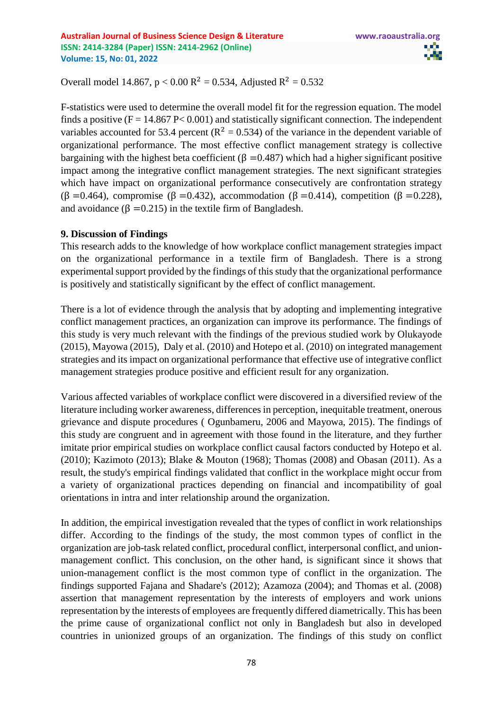Overall model 14.867,  $p < 0.00 \text{ R}^2 = 0.534$ , Adjusted  $R^2 = 0.532$ 

F-statistics were used to determine the overall model fit for the regression equation. The model finds a positive  $(F = 14.867 \text{ P} < 0.001)$  and statistically significant connection. The independent variables accounted for 53.4 percent ( $R^2 = 0.534$ ) of the variance in the dependent variable of organizational performance. The most effective conflict management strategy is collective bargaining with the highest beta coefficient ( $\beta$  =0.487) which had a higher significant positive impact among the integrative conflict management strategies. The next significant strategies which have impact on organizational performance consecutively are confrontation strategy (β =0.464), compromise (β =0.432), accommodation (β =0.414), competition (β =0.228), and avoidance  $(β = 0.215)$  in the textile firm of Bangladesh.

## **9. Discussion of Findings**

This research adds to the knowledge of how workplace conflict management strategies impact on the organizational performance in a textile firm of Bangladesh. There is a strong experimental support provided by the findings of this study that the organizational performance is positively and statistically significant by the effect of conflict management.

There is a lot of evidence through the analysis that by adopting and implementing integrative conflict management practices, an organization can improve its performance. The findings of this study is very much relevant with the findings of the previous studied work by Olukayode (2015), Mayowa (2015), Daly et al. (2010) and Hotepo et al. (2010) on integrated management strategies and its impact on organizational performance that effective use of integrative conflict management strategies produce positive and efficient result for any organization.

Various affected variables of workplace conflict were discovered in a diversified review of the literature including worker awareness, differences in perception, inequitable treatment, onerous grievance and dispute procedures ( Ogunbameru, 2006 and Mayowa, 2015). The findings of this study are congruent and in agreement with those found in the literature, and they further imitate prior empirical studies on workplace conflict causal factors conducted by Hotepo et al. (2010); Kazimoto (2013); Blake & Mouton (1968); Thomas (2008) and Obasan (2011). As a result, the study's empirical findings validated that conflict in the workplace might occur from a variety of organizational practices depending on financial and incompatibility of goal orientations in intra and inter relationship around the organization.

In addition, the empirical investigation revealed that the types of conflict in work relationships differ. According to the findings of the study, the most common types of conflict in the organization are job-task related conflict, procedural conflict, interpersonal conflict, and unionmanagement conflict. This conclusion, on the other hand, is significant since it shows that union-management conflict is the most common type of conflict in the organization. The findings supported Fajana and Shadare's (2012); Azamoza (2004); and Thomas et al. (2008) assertion that management representation by the interests of employers and work unions representation by the interests of employees are frequently differed diametrically. This has been the prime cause of organizational conflict not only in Bangladesh but also in developed countries in unionized groups of an organization. The findings of this study on conflict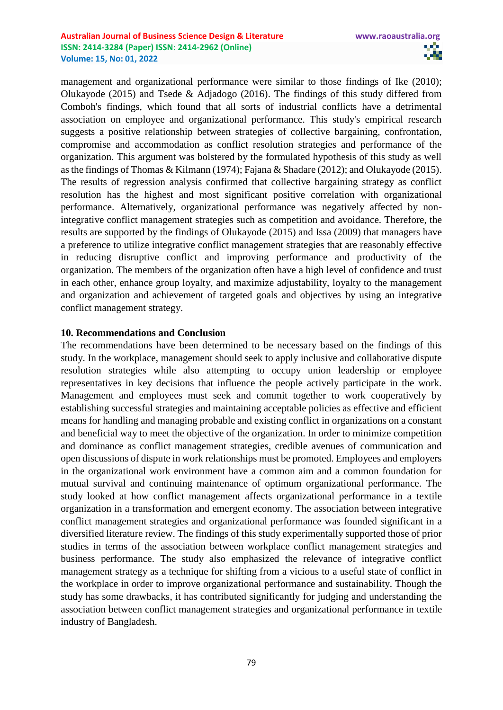management and organizational performance were similar to those findings of Ike (2010); Olukayode (2015) and Tsede & Adjadogo (2016). The findings of this study differed from Comboh's findings, which found that all sorts of industrial conflicts have a detrimental association on employee and organizational performance. This study's empirical research suggests a positive relationship between strategies of collective bargaining, confrontation, compromise and accommodation as conflict resolution strategies and performance of the organization. This argument was bolstered by the formulated hypothesis of this study as well as the findings of Thomas & Kilmann (1974); Fajana & Shadare (2012); and Olukayode (2015). The results of regression analysis confirmed that collective bargaining strategy as conflict resolution has the highest and most significant positive correlation with organizational performance. Alternatively, organizational performance was negatively affected by nonintegrative conflict management strategies such as competition and avoidance. Therefore, the results are supported by the findings of Olukayode (2015) and Issa (2009) that managers have a preference to utilize integrative conflict management strategies that are reasonably effective in reducing disruptive conflict and improving performance and productivity of the organization. The members of the organization often have a high level of confidence and trust in each other, enhance group loyalty, and maximize adjustability, loyalty to the management and organization and achievement of targeted goals and objectives by using an integrative conflict management strategy.

# **10. Recommendations and Conclusion**

The recommendations have been determined to be necessary based on the findings of this study. In the workplace, management should seek to apply inclusive and collaborative dispute resolution strategies while also attempting to occupy union leadership or employee representatives in key decisions that influence the people actively participate in the work. Management and employees must seek and commit together to work cooperatively by establishing successful strategies and maintaining acceptable policies as effective and efficient means for handling and managing probable and existing conflict in organizations on a constant and beneficial way to meet the objective of the organization. In order to minimize competition and dominance as conflict management strategies, credible avenues of communication and open discussions of dispute in work relationships must be promoted. Employees and employers in the organizational work environment have a common aim and a common foundation for mutual survival and continuing maintenance of optimum organizational performance. The study looked at how conflict management affects organizational performance in a textile organization in a transformation and emergent economy. The association between integrative conflict management strategies and organizational performance was founded significant in a diversified literature review. The findings of this study experimentally supported those of prior studies in terms of the association between workplace conflict management strategies and business performance. The study also emphasized the relevance of integrative conflict management strategy as a technique for shifting from a vicious to a useful state of conflict in the workplace in order to improve organizational performance and sustainability. Though the study has some drawbacks, it has contributed significantly for judging and understanding the association between conflict management strategies and organizational performance in textile industry of Bangladesh.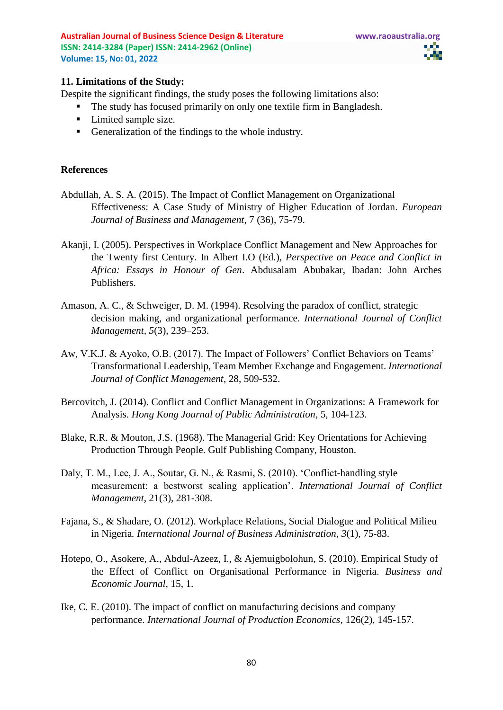

#### **11. Limitations of the Study:**

Despite the significant findings, the study poses the following limitations also:

- The study has focused primarily on only one textile firm in Bangladesh.
- Limited sample size.
- Generalization of the findings to the whole industry.

#### **References**

- Abdullah, A. S. A. (2015). The Impact of Conflict Management on Organizational Effectiveness: A Case Study of Ministry of Higher Education of Jordan. *European Journal of Business and Management*, 7 (36), 75-79.
- Akanji, I. (2005). Perspectives in Workplace Conflict Management and New Approaches for the Twenty first Century. In Albert I.O (Ed.), *Perspective on Peace and Conflict in Africa: Essays in Honour of Gen*. Abdusalam Abubakar, Ibadan: John Arches Publishers.
- Amason, A. C., & Schweiger, D. M. (1994). Resolving the paradox of conflict, strategic decision making, and organizational performance. *International Journal of Conflict Management, 5*(3), 239–253.
- Aw, V.K.J. & Ayoko, O.B. (2017). The Impact of Followers' Conflict Behaviors on Teams' Transformational Leadership, Team Member Exchange and Engagement. *International Journal of Conflict Management*, 28, 509-532.
- Bercovitch, J. (2014). Conflict and Conflict Management in Organizations: A Framework for Analysis. *Hong Kong Journal of Public Administration*, 5, 104-123.
- Blake, R.R. & Mouton, J.S. (1968). The Managerial Grid: Key Orientations for Achieving Production Through People. Gulf Publishing Company, Houston.
- Daly, T. M., Lee, J. A., Soutar, G. N., & Rasmi, S. (2010). 'Conflict-handling style measurement: a bestworst scaling application'. *International Journal of Conflict Management*, 21(3), 281-308.
- Fajana, S., & Shadare, O. (2012). Workplace Relations, Social Dialogue and Political Milieu in Nigeria*. International Journal of Business Administration*, *3*(1), 75-83.
- Hotepo, O., Asokere, A., Abdul-Azeez, I., & Ajemuigbolohun, S. (2010). Empirical Study of the Effect of Conflict on Organisational Performance in Nigeria. *Business and Economic Journal,* 15, 1.
- Ike, C. E. (2010). The impact of conflict on manufacturing decisions and company performance. *International Journal of Production Economics*, 126(2), 145-157.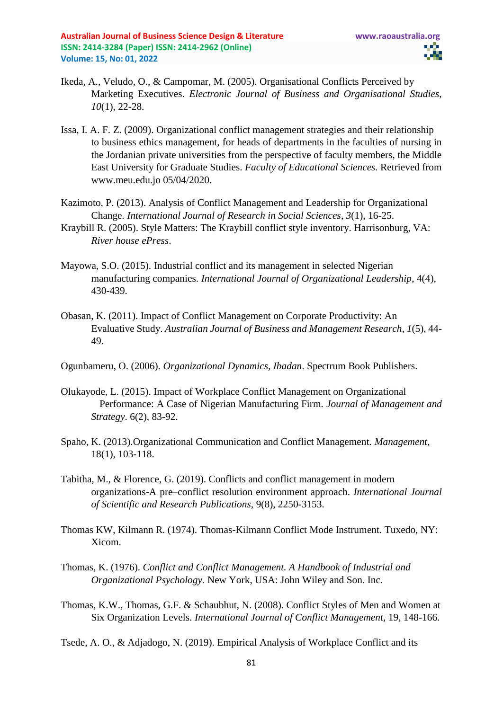- Ikeda, A., Veludo, O., & Campomar, M. (2005). Organisational Conflicts Perceived by Marketing Executives. *Electronic Journal of Business and Organisational Studies, 10*(1), 22-28.
- Issa, I. A. F. Z. (2009). Organizational conflict management strategies and their relationship to business ethics management, for heads of departments in the faculties of nursing in the Jordanian private universities from the perspective of faculty members, the Middle East University for Graduate Studies. *Faculty of Educational Sciences.* Retrieved from www.meu.edu.jo 05/04/2020.
- Kazimoto, P. (2013). Analysis of Conflict Management and Leadership for Organizational Change. *International Journal of Research in Social Sciences*, *3*(1), 16-25.
- Kraybill R. (2005). Style Matters: The Kraybill conflict style inventory. Harrisonburg, VA: *River house ePress*.
- Mayowa, S.O. (2015). Industrial conflict and its management in selected Nigerian manufacturing companies. *[International Journal of Organizational Leadership](https://www.researchgate.net/journal/International-Journal-of-Organizational-Leadership-2345-6744)*, 4(4), 430-439.
- Obasan, K. (2011). Impact of Conflict Management on Corporate Productivity: An Evaluative Study. *Australian Journal of Business and Management Research*, *1*(5), 44- 49.
- Ogunbameru, O. (2006). *Organizational Dynamics, Ibadan*. Spectrum Book Publishers.
- Olukayode, L. (2015). Impact of Workplace Conflict Management on Organizational Performance: A Case of Nigerian Manufacturing Firm. *Journal of Management and Strategy*. 6(2), 83-92.
- Spaho, K. (2013).Organizational Communication and Conflict Management. *Management*, 18(1), 103-118.
- Tabitha, M., & Florence, G. (2019). Conflicts and conflict management in modern organizations-A pre–conflict resolution environment approach. *International Journal of Scientific and Research Publications,* 9(8), 2250-3153.
- Thomas KW, Kilmann R. (1974). Thomas-Kilmann Conflict Mode Instrument. Tuxedo, NY: Xicom.
- Thomas, K. (1976). *Conflict and Conflict Management. A Handbook of Industrial and Organizational Psychology.* New York, USA: John Wiley and Son. Inc.
- Thomas, K.W., Thomas, G.F. & Schaubhut, N. (2008). Conflict Styles of Men and Women at Six Organization Levels. *International Journal of Conflict Management*, 19, 148-166.

Tsede, A. O., & Adjadogo, N. (2019). Empirical Analysis of Workplace Conflict and its